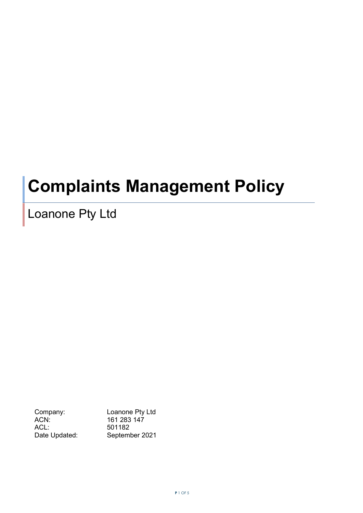# **Complaints Management Policy**

## Loanone Pty Ltd

ACN: 161 283 147<br>ACL: 501182 ACL: 501182<br>Date Updated: Septem

Company: Loanone Pty Ltd<br>ACN: 161 283 147 September 2021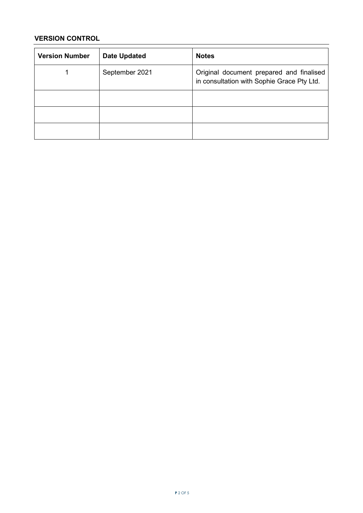### **VERSION CONTROL**

| <b>Version Number</b> | <b>Date Updated</b> | <b>Notes</b>                                                                           |
|-----------------------|---------------------|----------------------------------------------------------------------------------------|
|                       | September 2021      | Original document prepared and finalised<br>in consultation with Sophie Grace Pty Ltd. |
|                       |                     |                                                                                        |
|                       |                     |                                                                                        |
|                       |                     |                                                                                        |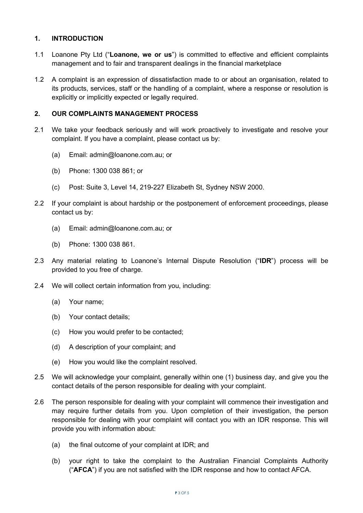#### **1. INTRODUCTION**

- 1.1 Loanone Pty Ltd ("**Loanone, we or us**") is committed to effective and efficient complaints management and to fair and transparent dealings in the financial marketplace
- 1.2 A complaint is an expression of dissatisfaction made to or about an organisation, related to its products, services, staff or the handling of a complaint, where a response or resolution is explicitly or implicitly expected or legally required.

#### **2. OUR COMPLAINTS MANAGEMENT PROCESS**

- 2.1 We take your feedback seriously and will work proactively to investigate and resolve your complaint. If you have a complaint, please contact us by:
	- (a) Email: admin@loanone.com.au; or
	- (b) Phone: 1300 038 861; or
	- (c) Post: Suite 3, Level 14, 219-227 Elizabeth St, Sydney NSW 2000.
- 2.2 If your complaint is about hardship or the postponement of enforcement proceedings, please contact us by:
	- (a) Email: admin@loanone.com.au; or
	- (b) Phone: 1300 038 861.
- 2.3 Any material relating to Loanone's Internal Dispute Resolution ("**IDR**") process will be provided to you free of charge.
- 2.4 We will collect certain information from you, including:
	- (a) Your name;
	- (b) Your contact details;
	- (c) How you would prefer to be contacted;
	- (d) A description of your complaint; and
	- (e) How you would like the complaint resolved.
- 2.5 We will acknowledge your complaint, generally within one (1) business day, and give you the contact details of the person responsible for dealing with your complaint.
- 2.6 The person responsible for dealing with your complaint will commence their investigation and may require further details from you. Upon completion of their investigation, the person responsible for dealing with your complaint will contact you with an IDR response. This will provide you with information about:
	- (a) the final outcome of your complaint at IDR; and
	- (b) your right to take the complaint to the Australian Financial Complaints Authority ("**AFCA**") if you are not satisfied with the IDR response and how to contact AFCA.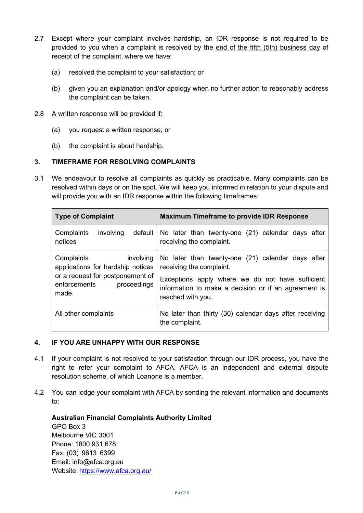- 2.7 Except where your complaint involves hardship, an IDR response is not required to be provided to you when a complaint is resolved by the end of the fifth (5th) business day of receipt of the complaint, where we have:
	- (a) resolved the complaint to your satisfaction; or
	- (b) given you an explanation and/or apology when no further action to reasonably address the complaint can be taken.
- 2.8 A written response will be provided if:
	- (a) you request a written response; or
	- (b) the complaint is about hardship.

#### **3. TIMEFRAME FOR RESOLVING COMPLAINTS**

3.1 We endeavour to resolve all complaints as quickly as practicable. Many complaints can be resolved within days or on the spot. We will keep you informed in relation to your dispute and will provide you with an IDR response within the following timeframes:

| <b>Type of Complaint</b>                                                                                                                 | <b>Maximum Timeframe to provide IDR Response</b>                                                                                                                                                               |
|------------------------------------------------------------------------------------------------------------------------------------------|----------------------------------------------------------------------------------------------------------------------------------------------------------------------------------------------------------------|
| involving<br>Complaints<br>default<br>notices                                                                                            | No later than twenty-one (21) calendar days after<br>receiving the complaint.                                                                                                                                  |
| Complaints<br>involving<br>applications for hardship notices<br>or a request for postponement of<br>enforcements<br>proceedings<br>made. | No later than twenty-one (21) calendar days after<br>receiving the complaint.<br>Exceptions apply where we do not have sufficient<br>information to make a decision or if an agreement is<br>reached with you. |
| All other complaints                                                                                                                     | No later than thirty (30) calendar days after receiving<br>the complaint.                                                                                                                                      |

#### **4. IF YOU ARE UNHAPPY WITH OUR RESPONSE**

- 4.1 If your complaint is not resolved to your satisfaction through our IDR process, you have the right to refer your complaint to AFCA. AFCA is an independent and external dispute resolution scheme, of which Loanone is a member.
- 4.2 You can lodge your complaint with AFCA by sending the relevant information and documents to:

**Australian Financial Complaints Authority Limited** GPO Box 3 Melbourne VIC 3001 Phone: 1800 931 678 Fax: (03) 9613 6399 Email: info@afca.org.au Website: <https://www.afca.org.au/>